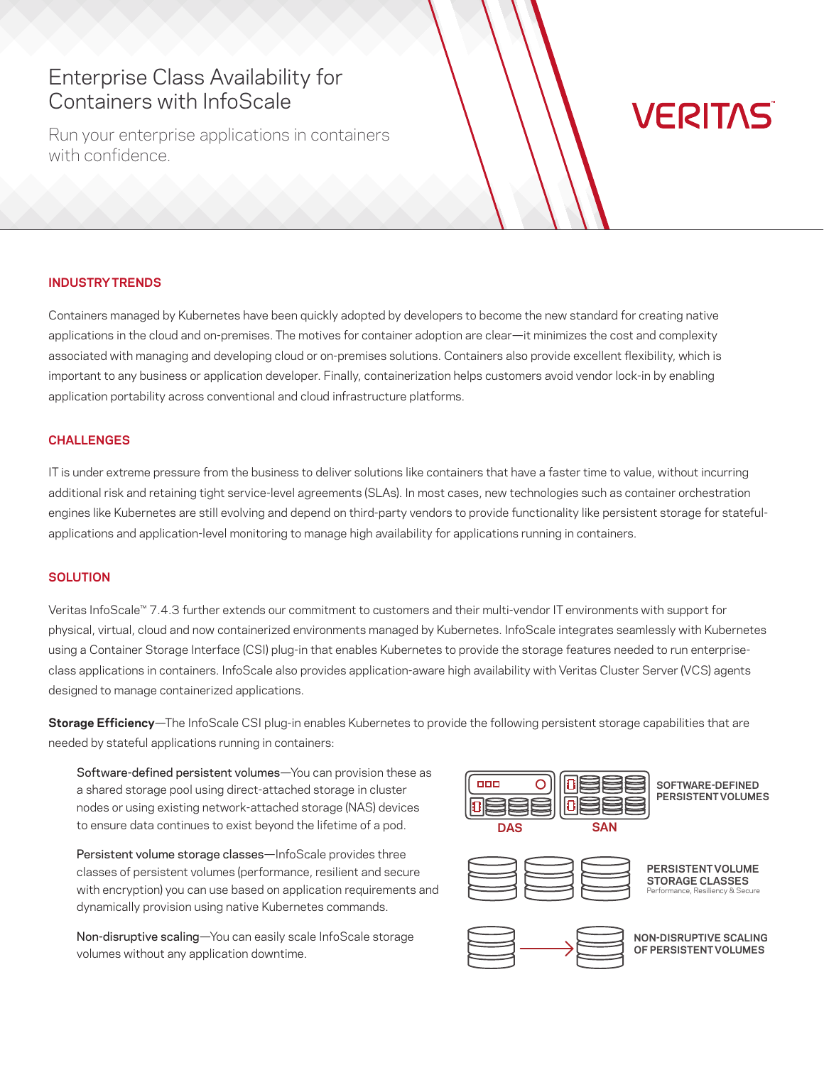# Enterprise Class Availability for Containers with InfoScale

Run your enterprise applications in containers with confidence.

# **VERITAS**

### **INDUSTRY TRENDS**

Containers managed by Kubernetes have been quickly adopted by developers to become the new standard for creating native applications in the cloud and on-premises. The motives for container adoption are clear—it minimizes the cost and complexity associated with managing and developing cloud or on-premises solutions. Containers also provide excellent flexibility, which is important to any business or application developer. Finally, containerization helps customers avoid vendor lock-in by enabling application portability across conventional and cloud infrastructure platforms.

#### **CHALLENGES**

IT is under extreme pressure from the business to deliver solutions like containers that have a faster time to value, without incurring additional risk and retaining tight service-level agreements (SLAs). In most cases, new technologies such as container orchestration engines like Kubernetes are still evolving and depend on third-party vendors to provide functionality like persistent storage for statefulapplications and application-level monitoring to manage high availability for applications running in containers.

# **SOLUTION**

Veritas InfoScale™ 7.4.3 further extends our commitment to customers and their multi-vendor IT environments with support for physical, virtual, cloud and now containerized environments managed by Kubernetes. InfoScale integrates seamlessly with Kubernetes using a Container Storage Interface (CSI) plug-in that enables Kubernetes to provide the storage features needed to run enterpriseclass applications in containers. InfoScale also provides application-aware high availability with Veritas Cluster Server (VCS) agents designed to manage containerized applications.

**Storage Efficiency**—The InfoScale CSI plug-in enables Kubernetes to provide the following persistent storage capabilities that are needed by stateful applications running in containers:

Software-defined persistent volumes—You can provision these as a shared storage pool using direct-attached storage in cluster nodes or using existing network-attached storage (NAS) devices to ensure data continues to exist beyond the lifetime of a pod.

Persistent volume storage classes—InfoScale provides three classes of persistent volumes (performance, resilient and secure with encryption) you can use based on application requirements and dynamically provision using native Kubernetes commands.

Non-disruptive scaling—You can easily scale InfoScale storage volumes without any application downtime.